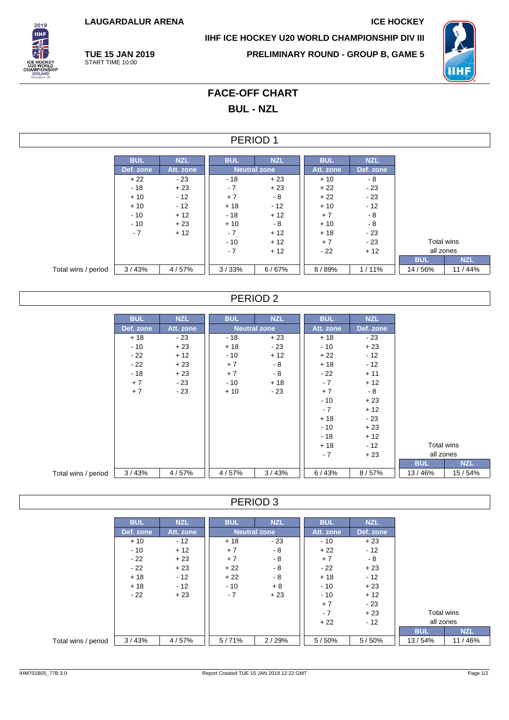**LAUGARDALUR ARENA ICE HOCKEY**

**TUE 15 JAN 2019** START TIME 10:00



**IIHF ICE HOCKEY U20 WORLD CHAMPIONSHIP DIV III**

**PRELIMINARY ROUND - GROUP B, GAME 5**



# **FACE-OFF CHART BUL - NZL**

### PERIOD 1

|                     | <b>BUL</b> | <b>NZL</b> | <b>BUL</b> | <b>NZL</b>          | <b>BUL</b> | <b>NZL</b> |            |            |
|---------------------|------------|------------|------------|---------------------|------------|------------|------------|------------|
|                     | Def. zone  | Att. zone  |            | <b>Neutral zone</b> | Att. zone  | Def. zone  |            |            |
|                     | $+22$      | $-23$      | $-18$      | $+23$               | $+10$      | - 8        |            |            |
|                     | $-18$      | $+23$      | $-7$       | $+23$               | $+22$      | $-23$      |            |            |
|                     | $+10$      | $-12$      | $+7$       | - 8                 | $+22$      | $-23$      |            |            |
|                     | $+10$      | $-12$      | $+18$      | $-12$               | $+10$      | $-12$      |            |            |
|                     | $-10$      | $+12$      | $-18$      | $+12$               | $+7$       | - 8        |            |            |
|                     | $-10$      | $+23$      | $+10$      | - 8                 | $+10$      | - 8        |            |            |
|                     | $-7$       | $+12$      | $-7$       | $+12$               | $+18$      | $-23$      |            |            |
|                     |            |            | $-10$      | $+12$               | $+7$       | $-23$      | Total wins |            |
|                     |            |            | $-7$       | $+12$               | $-22$      | $+12$      | all zones  |            |
|                     |            |            |            |                     |            |            | <b>BUL</b> | <b>NZL</b> |
| Total wins / period | 3/43%      | 4/57%      | 3/33%      | 6/67%               | 8/89%      | 1/11%      | 14/56%     | 11 / 44%   |

### PERIOD 2

|                     | <b>BUL</b> | <b>NZL</b> | <b>BUL</b> | <b>NZL</b>          | <b>BUL</b> | <b>NZL</b> |            |            |
|---------------------|------------|------------|------------|---------------------|------------|------------|------------|------------|
|                     | Def. zone  | Att. zone  |            | <b>Neutral zone</b> | Att. zone  | Def. zone  |            |            |
|                     | $+18$      | - 23       | - 18       | $+23$               | $+18$      | $-23$      |            |            |
|                     | $-10$      | $+23$      | $+18$      | $-23$               | $-10$      | $+23$      |            |            |
|                     | - 22       | $+12$      | $-10$      | $+12$               | $+22$      | $-12$      |            |            |
|                     | $-22$      | $+23$      | $+7$       | $-8$                | $+18$      | $-12$      |            |            |
|                     | $-18$      | $+23$      | $+7$       | $-8$                | - 22       | $+11$      |            |            |
|                     | $+7$       | $-23$      | $-10$      | $+18$               | $-7$       | $+12$      |            |            |
|                     | $+7$       | $-23$      | $+10$      | $-23$               | $+7$       | $-8$       |            |            |
|                     |            |            |            |                     | $-10$      | $+23$      |            |            |
|                     |            |            |            |                     | $-7$       | $+12$      |            |            |
|                     |            |            |            |                     | $+18$      | - 23       |            |            |
|                     |            |            |            |                     | - 10       | $+23$      |            |            |
|                     |            |            |            |                     | $-18$      | $+12$      |            |            |
|                     |            |            |            |                     | $+18$      | $-12$      | Total wins |            |
|                     |            |            |            |                     | $-7$       | $+23$      | all zones  |            |
|                     |            |            |            |                     |            |            | <b>BUL</b> | <b>NZL</b> |
| Total wins / period | 3/43%      | 4/57%      | 4/57%      | 3/43%               | 6/43%      | 8/57%      | 13/46%     | 15/54%     |

#### PERIOD 3

|                     | <b>BUL</b> | <b>NZL</b> | <b>BUL</b> | <b>NZL</b>          | <b>BUL</b> | <b>NZL</b> |            |            |
|---------------------|------------|------------|------------|---------------------|------------|------------|------------|------------|
|                     | Def. zone  | Att. zone  |            | <b>Neutral zone</b> | Att. zone  | Def. zone  |            |            |
|                     | $+10$      | $-12$      | $+18$      | $-23$               | $-10$      | $+23$      |            |            |
|                     | $-10$      | $+12$      | $+7$       | $-8$                | $+22$      | $-12$      |            |            |
|                     | $-22$      | $+23$      | $+7$       | - 8                 | $+7$       | - 8        |            |            |
|                     | $-22$      | $+23$      | $+22$      | $-8$                | - 22       | $+23$      |            |            |
|                     | $+18$      | $-12$      | $+22$      | - 8                 | $+18$      | $-12$      |            |            |
|                     | $+18$      | $-12$      | $-10$      | $+8$                | - 10       | $+23$      |            |            |
|                     | $-22$      | $+23$      | $-7$       | $+23$               | $-10$      | $+12$      |            |            |
|                     |            |            |            |                     | $+7$       | $-23$      |            |            |
|                     |            |            |            |                     | $-7$       | $+23$      | Total wins |            |
|                     |            |            |            |                     | $+22$      | $-12$      | all zones  |            |
|                     |            |            |            |                     |            |            | <b>BUL</b> | <b>NZL</b> |
| Total wins / period | 3/43%      | 4/57%      | 5/71%      | 2/29%               | 5/50%      | 5/50%      | 13/54%     | 11/46%     |